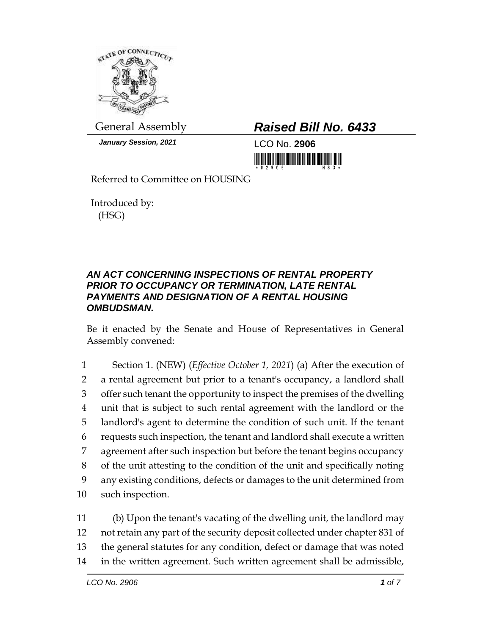

*January Session, 2021* LCO No. **2906**

## General Assembly *Raised Bill No. 6433*

<u> III Martin Martin Martin Martin Martin Martin Martin Martin Martin Martin Martin Martin Martin Mar</u>

Referred to Committee on HOUSING

Introduced by: (HSG)

## *AN ACT CONCERNING INSPECTIONS OF RENTAL PROPERTY PRIOR TO OCCUPANCY OR TERMINATION, LATE RENTAL PAYMENTS AND DESIGNATION OF A RENTAL HOUSING OMBUDSMAN.*

Be it enacted by the Senate and House of Representatives in General Assembly convened:

 Section 1. (NEW) (*Effective October 1, 2021*) (a) After the execution of a rental agreement but prior to a tenant's occupancy, a landlord shall offer such tenant the opportunity to inspect the premises of the dwelling unit that is subject to such rental agreement with the landlord or the landlord's agent to determine the condition of such unit. If the tenant requests such inspection, the tenant and landlord shall execute a written agreement after such inspection but before the tenant begins occupancy of the unit attesting to the condition of the unit and specifically noting any existing conditions, defects or damages to the unit determined from such inspection.

 (b) Upon the tenant's vacating of the dwelling unit, the landlord may not retain any part of the security deposit collected under chapter 831 of the general statutes for any condition, defect or damage that was noted in the written agreement. Such written agreement shall be admissible,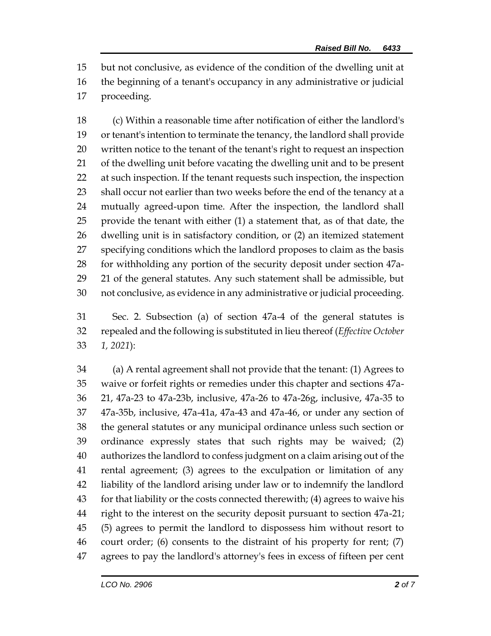but not conclusive, as evidence of the condition of the dwelling unit at the beginning of a tenant's occupancy in any administrative or judicial proceeding.

 (c) Within a reasonable time after notification of either the landlord's or tenant's intention to terminate the tenancy, the landlord shall provide written notice to the tenant of the tenant's right to request an inspection of the dwelling unit before vacating the dwelling unit and to be present at such inspection. If the tenant requests such inspection, the inspection 23 shall occur not earlier than two weeks before the end of the tenancy at a mutually agreed-upon time. After the inspection, the landlord shall provide the tenant with either (1) a statement that, as of that date, the dwelling unit is in satisfactory condition, or (2) an itemized statement specifying conditions which the landlord proposes to claim as the basis for withholding any portion of the security deposit under section 47a- 21 of the general statutes. Any such statement shall be admissible, but not conclusive, as evidence in any administrative or judicial proceeding.

 Sec. 2. Subsection (a) of section 47a-4 of the general statutes is repealed and the following is substituted in lieu thereof (*Effective October 1, 2021*):

 (a) A rental agreement shall not provide that the tenant: (1) Agrees to waive or forfeit rights or remedies under this chapter and sections 47a- 21, 47a-23 to 47a-23b, inclusive, 47a-26 to 47a-26g, inclusive, 47a-35 to 47a-35b, inclusive, 47a-41a, 47a-43 and 47a-46, or under any section of the general statutes or any municipal ordinance unless such section or ordinance expressly states that such rights may be waived; (2) authorizes the landlord to confess judgment on a claim arising out of the rental agreement; (3) agrees to the exculpation or limitation of any liability of the landlord arising under law or to indemnify the landlord for that liability or the costs connected therewith; (4) agrees to waive his right to the interest on the security deposit pursuant to section 47a-21; (5) agrees to permit the landlord to dispossess him without resort to court order; (6) consents to the distraint of his property for rent; (7) agrees to pay the landlord's attorney's fees in excess of fifteen per cent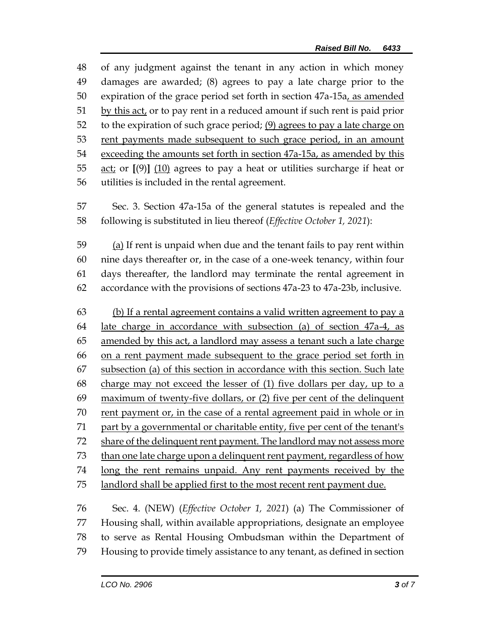of any judgment against the tenant in any action in which money damages are awarded; (8) agrees to pay a late charge prior to the 50 expiration of the grace period set forth in section 47a-15a, as amended by this act, or to pay rent in a reduced amount if such rent is paid prior to the expiration of such grace period; (9) agrees to pay a late charge on rent payments made subsequent to such grace period, in an amount exceeding the amounts set forth in section 47a-15a, as amended by this act; or **[**(9)**]** (10) agrees to pay a heat or utilities surcharge if heat or utilities is included in the rental agreement.

 Sec. 3. Section 47a-15a of the general statutes is repealed and the following is substituted in lieu thereof (*Effective October 1, 2021*):

 (a) If rent is unpaid when due and the tenant fails to pay rent within nine days thereafter or, in the case of a one-week tenancy, within four days thereafter, the landlord may terminate the rental agreement in accordance with the provisions of sections 47a-23 to 47a-23b, inclusive.

 (b) If a rental agreement contains a valid written agreement to pay a late charge in accordance with subsection (a) of section 47a-4, as amended by this act, a landlord may assess a tenant such a late charge on a rent payment made subsequent to the grace period set forth in subsection (a) of this section in accordance with this section. Such late charge may not exceed the lesser of (1) five dollars per day, up to a maximum of twenty-five dollars, or (2) five per cent of the delinquent rent payment or, in the case of a rental agreement paid in whole or in 71 part by a governmental or charitable entity, five per cent of the tenant's share of the delinquent rent payment. The landlord may not assess more than one late charge upon a delinquent rent payment, regardless of how long the rent remains unpaid. Any rent payments received by the landlord shall be applied first to the most recent rent payment due.

 Sec. 4. (NEW) (*Effective October 1, 2021*) (a) The Commissioner of Housing shall, within available appropriations, designate an employee to serve as Rental Housing Ombudsman within the Department of Housing to provide timely assistance to any tenant, as defined in section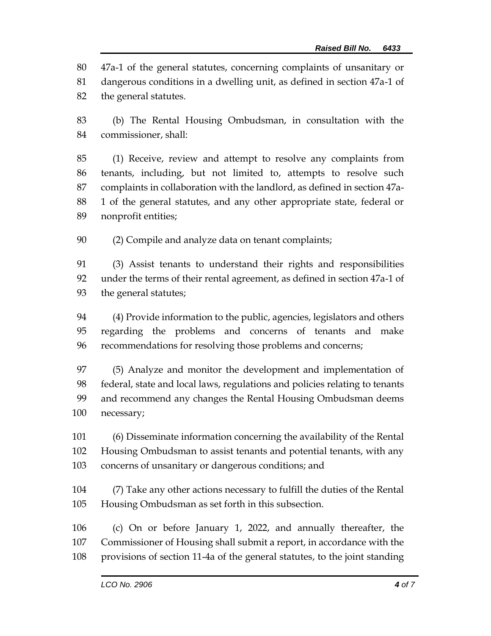47a-1 of the general statutes, concerning complaints of unsanitary or dangerous conditions in a dwelling unit, as defined in section 47a-1 of the general statutes.

 (b) The Rental Housing Ombudsman, in consultation with the commissioner, shall:

 (1) Receive, review and attempt to resolve any complaints from tenants, including, but not limited to, attempts to resolve such complaints in collaboration with the landlord, as defined in section 47a- 1 of the general statutes, and any other appropriate state, federal or nonprofit entities;

(2) Compile and analyze data on tenant complaints;

 (3) Assist tenants to understand their rights and responsibilities under the terms of their rental agreement, as defined in section 47a-1 of the general statutes;

 (4) Provide information to the public, agencies, legislators and others regarding the problems and concerns of tenants and make recommendations for resolving those problems and concerns;

 (5) Analyze and monitor the development and implementation of federal, state and local laws, regulations and policies relating to tenants and recommend any changes the Rental Housing Ombudsman deems necessary;

 (6) Disseminate information concerning the availability of the Rental Housing Ombudsman to assist tenants and potential tenants, with any concerns of unsanitary or dangerous conditions; and

 (7) Take any other actions necessary to fulfill the duties of the Rental Housing Ombudsman as set forth in this subsection.

 (c) On or before January 1, 2022, and annually thereafter, the Commissioner of Housing shall submit a report, in accordance with the provisions of section 11-4a of the general statutes, to the joint standing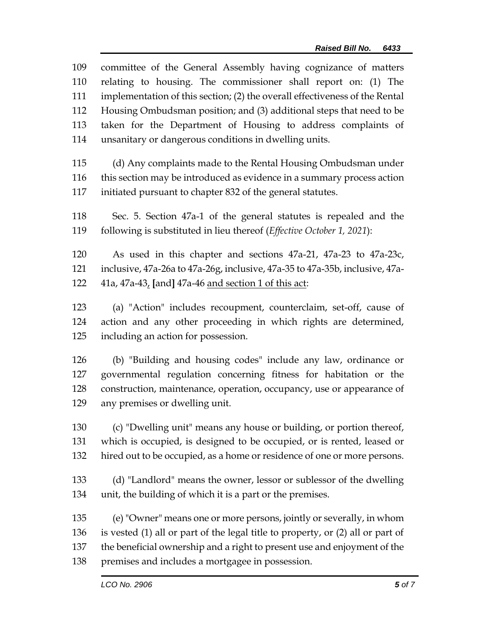| 109 | committee of the General Assembly having cognizance of matters                  |  |  |
|-----|---------------------------------------------------------------------------------|--|--|
| 110 | relating to housing. The commissioner shall report on: (1) The                  |  |  |
| 111 | implementation of this section; (2) the overall effectiveness of the Rental     |  |  |
| 112 | Housing Ombudsman position; and (3) additional steps that need to be            |  |  |
| 113 | taken for the Department of Housing to address complaints of                    |  |  |
| 114 | unsanitary or dangerous conditions in dwelling units.                           |  |  |
| 115 | (d) Any complaints made to the Rental Housing Ombudsman under                   |  |  |
| 116 | this section may be introduced as evidence in a summary process action          |  |  |
| 117 | initiated pursuant to chapter 832 of the general statutes.                      |  |  |
| 118 | Sec. 5. Section 47a-1 of the general statutes is repealed and the               |  |  |
| 119 | following is substituted in lieu thereof (Effective October 1, 2021):           |  |  |
| 120 | As used in this chapter and sections 47a-21, 47a-23 to 47a-23c,                 |  |  |
| 121 | inclusive, 47a-26a to 47a-26g, inclusive, 47a-35 to 47a-35b, inclusive, 47a-    |  |  |
| 122 | 41a, 47a-43, [and] 47a-46 and section 1 of this act:                            |  |  |
| 123 | (a) "Action" includes recoupment, counterclaim, set-off, cause of               |  |  |
| 124 | action and any other proceeding in which rights are determined,                 |  |  |
| 125 | including an action for possession.                                             |  |  |
| 126 | (b) "Building and housing codes" include any law, ordinance or                  |  |  |
| 127 | governmental regulation concerning fitness for habitation or the                |  |  |
| 128 | construction, maintenance, operation, occupancy, use or appearance of           |  |  |
| 129 | any premises or dwelling unit.                                                  |  |  |
| 130 | (c) "Dwelling unit" means any house or building, or portion thereof,            |  |  |
| 131 | which is occupied, is designed to be occupied, or is rented, leased or          |  |  |
| 132 | hired out to be occupied, as a home or residence of one or more persons.        |  |  |
| 133 | (d) "Landlord" means the owner, lessor or sublessor of the dwelling             |  |  |
| 134 | unit, the building of which it is a part or the premises.                       |  |  |
| 135 | (e) "Owner" means one or more persons, jointly or severally, in whom            |  |  |
| 136 | is vested (1) all or part of the legal title to property, or (2) all or part of |  |  |
| 137 | the beneficial ownership and a right to present use and enjoyment of the        |  |  |
| 138 | premises and includes a mortgagee in possession.                                |  |  |
|     | LCO No. 2906<br><b>5</b> of 7                                                   |  |  |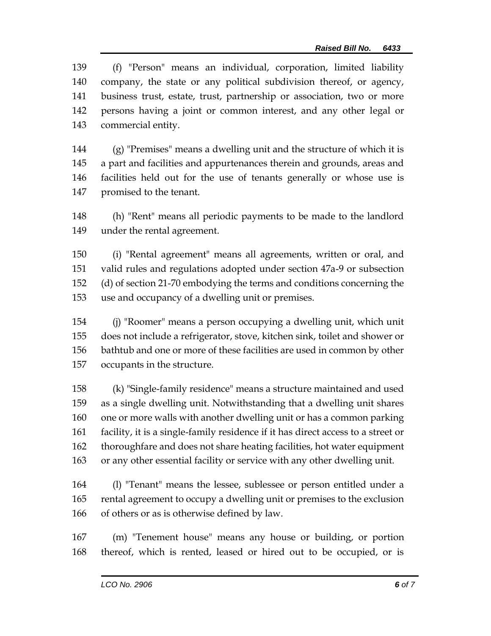(f) "Person" means an individual, corporation, limited liability company, the state or any political subdivision thereof, or agency, business trust, estate, trust, partnership or association, two or more persons having a joint or common interest, and any other legal or commercial entity.

 (g) "Premises" means a dwelling unit and the structure of which it is a part and facilities and appurtenances therein and grounds, areas and facilities held out for the use of tenants generally or whose use is promised to the tenant.

 (h) "Rent" means all periodic payments to be made to the landlord under the rental agreement.

 (i) "Rental agreement" means all agreements, written or oral, and valid rules and regulations adopted under section 47a-9 or subsection (d) of section 21-70 embodying the terms and conditions concerning the use and occupancy of a dwelling unit or premises.

 (j) "Roomer" means a person occupying a dwelling unit, which unit does not include a refrigerator, stove, kitchen sink, toilet and shower or bathtub and one or more of these facilities are used in common by other occupants in the structure.

 (k) "Single-family residence" means a structure maintained and used as a single dwelling unit. Notwithstanding that a dwelling unit shares one or more walls with another dwelling unit or has a common parking facility, it is a single-family residence if it has direct access to a street or thoroughfare and does not share heating facilities, hot water equipment or any other essential facility or service with any other dwelling unit.

 (l) "Tenant" means the lessee, sublessee or person entitled under a rental agreement to occupy a dwelling unit or premises to the exclusion of others or as is otherwise defined by law.

 (m) "Tenement house" means any house or building, or portion thereof, which is rented, leased or hired out to be occupied, or is